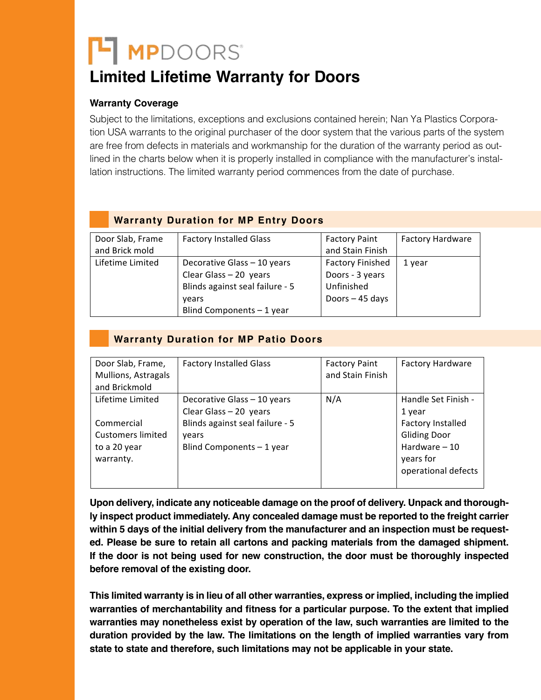# **H** MPDOORS<sup>®</sup>

#### **Limited Lifetime Warranty for Doors** *Marth*<br>Limited Lifeti

## **Warranty Coverage**

Subject to the limitations, exceptions and exclusions contained herein; Nan Ya Plastics Corporation USA warrants to the original purchaser of the door system that the various parts of the system tion USA are free from defects in materials and workmanship for the duration of the warranty period as outlined in the charts below when it is properly installed in compliance with the manufacturer's installation instructions. The limited warranty period commences from the date of purchase. lation instructions. The limited warranty period commences from the date of purchase.

## **Warranty Duration for MP Entry Doors**

| Door Slab, Frame | <b>Factory Installed Glass</b>  | <b>Factory Paint</b>    | <b>Factory Hardware</b> |
|------------------|---------------------------------|-------------------------|-------------------------|
| and Brick mold   |                                 | and Stain Finish        |                         |
| Lifetime Limited | Decorative Glass - 10 years     | <b>Factory Finished</b> | 1 year                  |
|                  | Clear Glass $-20$ years         | Doors - 3 years         |                         |
|                  | Blinds against seal failure - 5 | Unfinished              |                         |
|                  | vears                           | Doors - 45 days         |                         |
|                  | Blind Components - 1 year       |                         |                         |

### **Warranty Duration for MP Patio Doors**

| Door Slab, Frame,        | <b>Factory Installed Glass</b>  | <b>Factory Paint</b> | <b>Factory Hardware</b> |
|--------------------------|---------------------------------|----------------------|-------------------------|
| Mullions, Astragals      |                                 | and Stain Finish     |                         |
| and Brickmold            |                                 |                      |                         |
| Lifetime Limited         | Decorative Glass - 10 years     | N/A                  | Handle Set Finish -     |
|                          | Clear Glass $-20$ years         |                      | 1 year                  |
| Commercial               | Blinds against seal failure - 5 |                      | Factory Installed       |
| <b>Customers limited</b> | vears                           |                      | <b>Gliding Door</b>     |
| to a 20 year             | Blind Components - 1 year       |                      | Hardware $-10$          |
| warranty.                |                                 |                      | years for               |
|                          |                                 |                      | operational defects     |
|                          |                                 |                      |                         |

ly inspect product immediately. Any concealed damage must be reported to the freight carrier within 5 days of the initial delivery from the manufacturer and an inspection must be requested. Please be sure to retain all cartons and packing materials from the damaged shipment. before removal of the existing door. warranties of merchantability and fitness for a particular purpose. To the extent that implied  $\sim$ **Upon delivery, indicate any noticeable damage on the proof of delivery. Unpack and thorough-If the door is not being used for new construction, the door must be thoroughly inspected** 

warranties may nonetheless in the law of all other warranties operase are implied traduction the implies the dura<br>This limited warranty is in lieu of all other warranties ownerse are implied traduction the implie This limited warranty is in lieu of all other warranties, express or implied, including the implied<br>  $\frac{1}{2}$ warranties of merchantability and fitness for a particular purpose. To the extent that implied warranties may nonetheless exist by operation of the law, such warranties are limited to the **duration provided by the law. The limitations on the length of implied warranties vary from state to state and therefore, such limitations may not be applicable in your state.**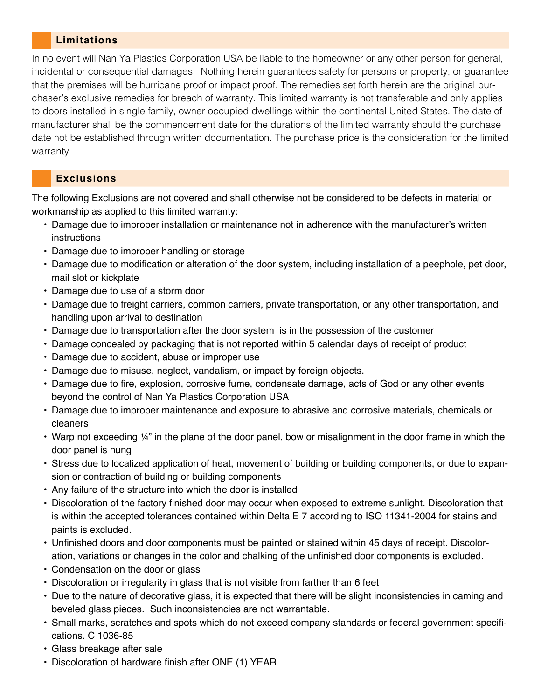#### **Limitations**

In no event will Nan Ya Plastics Corporation USA be liable to the homeowner or any other person for general, incidental or consequential damages. Nothing herein guarantees safety for persons or property, or guarantee that the premises will be hurricane proof or impact proof. The remedies set forth herein are the original purchaser's exclusive remedies for breach of warranty. This limited warranty is not transferable and only applies to doors installed in single family, owner occupied dwellings within the continental United States. The date of manufacturer shall be the commencement date for the durations of the limited warranty should the purchase date not be established through written documentation. The purchase price is the consideration for the limited warranty.

#### **Exclusions**

The following Exclusions are not covered and shall otherwise not be considered to be defects in material or workmanship as applied to this limited warranty:

- Damage due to improper installation or maintenance not in adherence with the manufacturer's written instructions
- Damage due to improper handling or storage
- Damage due to modification or alteration of the door system, including installation of a peephole, pet door, mail slot or kickplate
- Damage due to use of a storm door
- Damage due to freight carriers, common carriers, private transportation, or any other transportation, and handling upon arrival to destination
- Damage due to transportation after the door system is in the possession of the customer
- Damage concealed by packaging that is not reported within 5 calendar days of receipt of product
- Damage due to accident, abuse or improper use
- Damage due to misuse, neglect, vandalism, or impact by foreign objects.
- Damage due to fire, explosion, corrosive fume, condensate damage, acts of God or any other events beyond the control of Nan Ya Plastics Corporation USA
- Damage due to improper maintenance and exposure to abrasive and corrosive materials, chemicals or cleaners
- Warp not exceeding 1/4" in the plane of the door panel, bow or misalignment in the door frame in which the door panel is hung
- Stress due to localized application of heat, movement of building or building components, or due to expansion or contraction of building or building components
- Any failure of the structure into which the door is installed
- Discoloration of the factory finished door may occur when exposed to extreme sunlight. Discoloration that is within the accepted tolerances contained within Delta E 7 according to ISO 11341-2004 for stains and paints is excluded.
- Unfinished doors and door components must be painted or stained within 45 days of receipt. Discoloration, variations or changes in the color and chalking of the unfinished door components is excluded.
- Condensation on the door or glass
- Discoloration or irregularity in glass that is not visible from farther than 6 feet
- Due to the nature of decorative glass, it is expected that there will be slight inconsistencies in caming and beveled glass pieces. Such inconsistencies are not warrantable.
- Small marks, scratches and spots which do not exceed company standards or federal government specifications. C 1036-85
- Glass breakage after sale
- Discoloration of hardware finish after ONE (1) YEAR